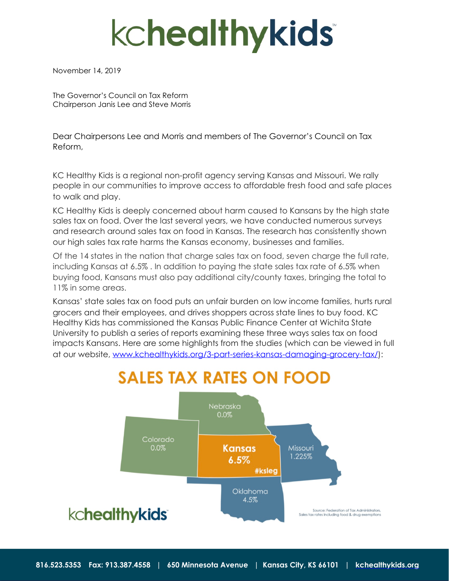# **kchealthykids**

November 14, 2019

The Governor's Council on Tax Reform Chairperson Janis Lee and Steve Morris

Dear Chairpersons Lee and Morris and members of The Governor's Council on Tax Reform,

KC Healthy Kids is a regional non-profit agency serving Kansas and Missouri. We rally people in our communities to improve access to affordable fresh food and safe places to walk and play.

KC Healthy Kids is deeply concerned about harm caused to Kansans by the high state sales tax on food. Over the last several years, we have conducted numerous surveys and research around sales tax on food in Kansas. The research has consistently shown our high sales tax rate harms the Kansas economy, businesses and families.

Of the 14 states in the nation that charge sales tax on food, seven charge the full rate, including Kansas at 6.5% . In addition to paying the state sales tax rate of 6.5% when buying food, Kansans must also pay additional city/county taxes, bringing the total to 11% in some areas.

Kansas' state sales tax on food puts an unfair burden on low income families, hurts rural grocers and their employees, and drives shoppers across state lines to buy food. KC Healthy Kids has commissioned the Kansas Public Finance Center at Wichita State University to publish a series of reports examining these three ways sales tax on food impacts Kansans. Here are some highlights from the studies (which can be viewed in full at our website, [www.kchealthykids.org/3-part-series-kansas-damaging-grocery-tax/\)](http://www.kchealthykids.org/3-part-series-kansas-damaging-grocery-tax/):

# **SALES TAX RATES ON FOOD**